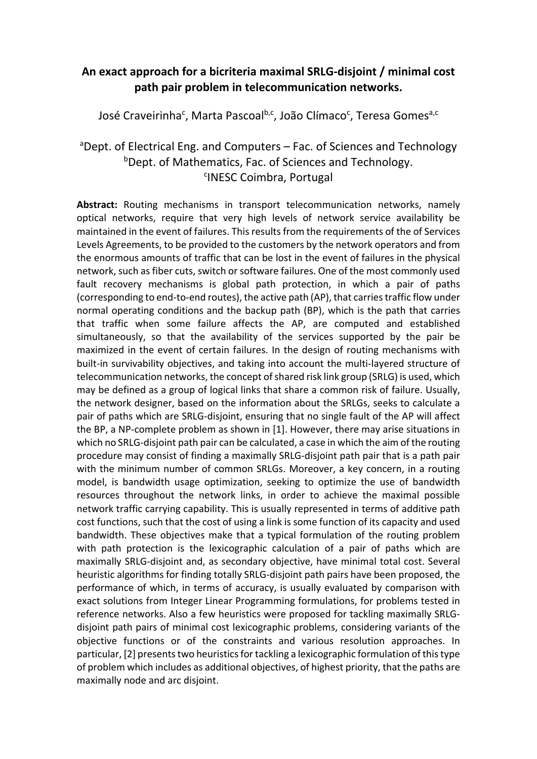## **An exact approach for a bicriteria maximal SRLG‐disjoint / minimal cost path pair problem in telecommunication networks.**

José Craveirinha<sup>c</sup>, Marta Pascoal<sup>b,c</sup>, João Clímaco<sup>c</sup>, Teresa Gomes<sup>a,c</sup>

## <sup>a</sup>Dept. of Electrical Eng. and Computers – Fac. of Sciences and Technology b Dept. of Mathematics, Fac. of Sciences and Technology. <sup>c</sup>INESC Coimbra, Portugal

**Abstract:** Routing mechanisms in transport telecommunication networks, namely optical networks, require that very high levels of network service availability be maintained in the event of failures. This results from the requirements of the of Services Levels Agreements, to be provided to the customers by the network operators and from the enormous amounts of traffic that can be lost in the event of failures in the physical network, such as fiber cuts, switch or software failures. One of the most commonly used fault recovery mechanisms is global path protection, in which a pair of paths (corresponding to end-to-end routes), the active path (AP), that carries traffic flow under normal operating conditions and the backup path (BP), which is the path that carries that traffic when some failure affects the AP, are computed and established simultaneously, so that the availability of the services supported by the pair be maximized in the event of certain failures. In the design of routing mechanisms with built‐in survivability objectives, and taking into account the multi‐layered structure of telecommunication networks, the concept of shared risk link group (SRLG) is used, which may be defined as a group of logical links that share a common risk of failure. Usually, the network designer, based on the information about the SRLGs, seeks to calculate a pair of paths which are SRLG‐disjoint, ensuring that no single fault of the AP will affect the BP, a NP‐complete problem as shown in [1]. However, there may arise situations in which no SRLG-disjoint path pair can be calculated, a case in which the aim of the routing procedure may consist of finding a maximally SRLG‐disjoint path pair that is a path pair with the minimum number of common SRLGs. Moreover, a key concern, in a routing model, is bandwidth usage optimization, seeking to optimize the use of bandwidth resources throughout the network links, in order to achieve the maximal possible network traffic carrying capability. This is usually represented in terms of additive path cost functions, such that the cost of using a link is some function of its capacity and used bandwidth. These objectives make that a typical formulation of the routing problem with path protection is the lexicographic calculation of a pair of paths which are maximally SRLG‐disjoint and, as secondary objective, have minimal total cost. Several heuristic algorithms for finding totally SRLG‐disjoint path pairs have been proposed, the performance of which, in terms of accuracy, is usually evaluated by comparison with exact solutions from Integer Linear Programming formulations, for problems tested in reference networks. Also a few heuristics were proposed for tackling maximally SRLG‐ disjoint path pairs of minimal cost lexicographic problems, considering variants of the objective functions or of the constraints and various resolution approaches. In particular, [2] presents two heuristics for tackling a lexicographic formulation of this type of problem which includes as additional objectives, of highest priority, that the paths are maximally node and arc disjoint.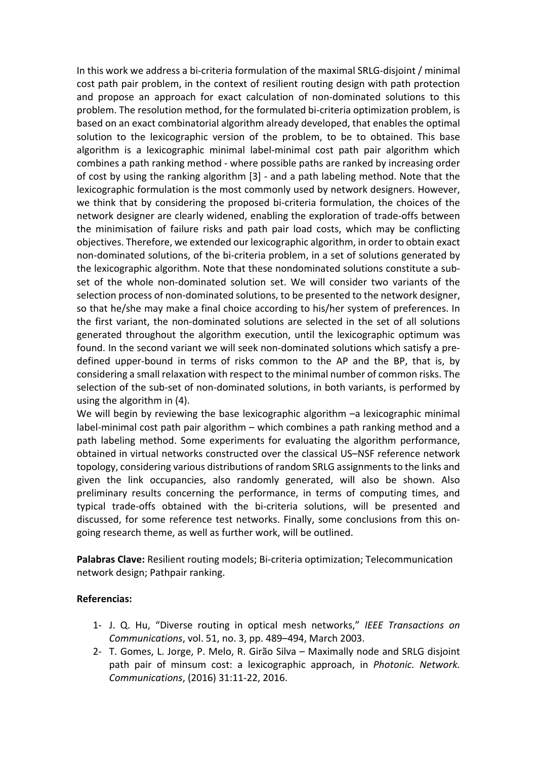In this work we address a bi‐criteria formulation of the maximal SRLG‐disjoint / minimal cost path pair problem, in the context of resilient routing design with path protection and propose an approach for exact calculation of non‐dominated solutions to this problem. The resolution method, for the formulated bi‐criteria optimization problem, is based on an exact combinatorial algorithm already developed, that enables the optimal solution to the lexicographic version of the problem, to be to obtained. This base algorithm is a lexicographic minimal label‐minimal cost path pair algorithm which combines a path ranking method ‐ where possible paths are ranked by increasing order of cost by using the ranking algorithm [3] ‐ and a path labeling method. Note that the lexicographic formulation is the most commonly used by network designers. However, we think that by considering the proposed bi‐criteria formulation, the choices of the network designer are clearly widened, enabling the exploration of trade‐offs between the minimisation of failure risks and path pair load costs, which may be conflicting objectives. Therefore, we extended our lexicographic algorithm, in order to obtain exact non‐dominated solutions, of the bi‐criteria problem, in a set of solutions generated by the lexicographic algorithm. Note that these nondominated solutions constitute a sub‐ set of the whole non-dominated solution set. We will consider two variants of the selection process of non‐dominated solutions, to be presented to the network designer, so that he/she may make a final choice according to his/her system of preferences. In the first variant, the non‐dominated solutions are selected in the set of all solutions generated throughout the algorithm execution, until the lexicographic optimum was found. In the second variant we will seek non‐dominated solutions which satisfy a pre‐ defined upper‐bound in terms of risks common to the AP and the BP, that is, by considering a small relaxation with respect to the minimal number of common risks. The selection of the sub-set of non-dominated solutions, in both variants, is performed by using the algorithm in (4).

We will begin by reviewing the base lexicographic algorithm  $-a$  lexicographic minimal label-minimal cost path pair algorithm – which combines a path ranking method and a path labeling method. Some experiments for evaluating the algorithm performance, obtained in virtual networks constructed over the classical US–NSF reference network topology, considering various distributions of random SRLG assignments to the links and given the link occupancies, also randomly generated, will also be shown. Also preliminary results concerning the performance, in terms of computing times, and typical trade‐offs obtained with the bi‐criteria solutions, will be presented and discussed, for some reference test networks. Finally, some conclusions from this on‐ going research theme, as well as further work, will be outlined.

**Palabras Clave:** Resilient routing models; Bi‐criteria optimization; Telecommunication network design; Pathpair ranking.

## **Referencias:**

- 1‐ J. Q. Hu, "Diverse routing in optical mesh networks," *IEEE Transactions on Communications*, vol. 51, no. 3, pp. 489–494, March 2003.
- 2‐ T. Gomes, L. Jorge, P. Melo, R. Girão Silva Maximally node and SRLG disjoint path pair of minsum cost: a lexicographic approach, in *Photonic. Network. Communications*, (2016) 31:11‐22, 2016.